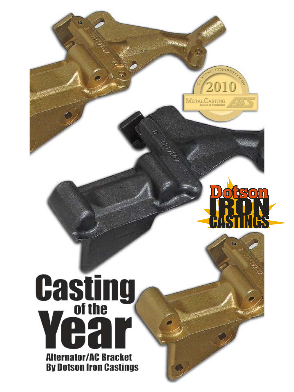



# **Casting** Ĥ **Alternator/AC Bracket By Dotson Iron Castings**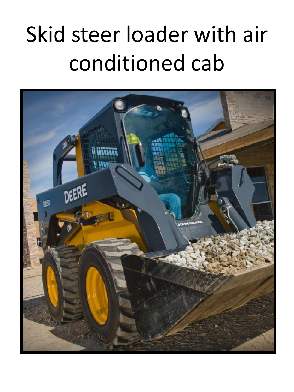# Skid steer loader with air conditioned cab

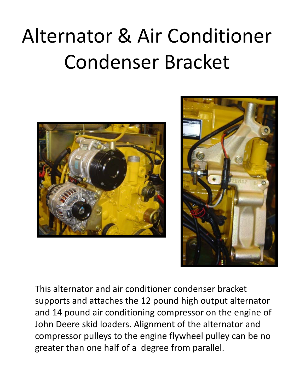#### Alternator & Air Conditioner Condenser Bracket





This alternator and air conditioner condenser bracket supports and attaches the 12 pound high output alternator and 14 pound air conditioning compressor on the engine of John Deere skid loaders. Alignment of the alternator and compressor pulleys to the engine flywheel pulley can be no greater than one half of a degree from parallel.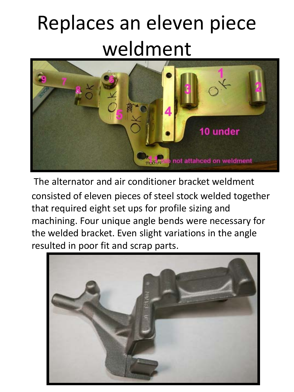### Replaces an eleven piece weldment



The alternator and air conditioner bracket weldment consisted of eleven pieces of steel stock welded together that required eight set ups for profile sizing and machining. Four unique angle bends were necessary for the welded bracket. Even slight variations in the angle resulted in poor fit and scrap parts.

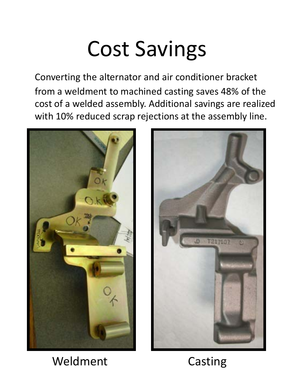#### Cost Savings

Converting the alternator and air conditioner bracket from a weldment to machined casting saves 48% of the cost of a welded assembly. Additional savings are realized with 10% reduced scrap rejections at the assembly line.





Weldment Casting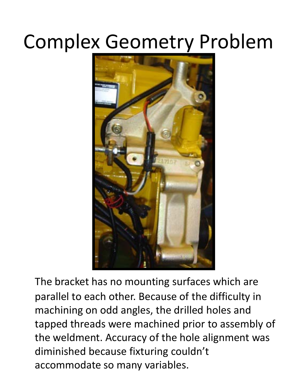#### Complex Geometry Problem



The bracket has no mounting surfaces which are parallel to each other. Because of the difficulty in machining on odd angles, the drilled holes and tapped threads were machined prior to assembly of the weldment. Accuracy of the hole alignment was diminished because fixturing couldn't accommodate so many variables.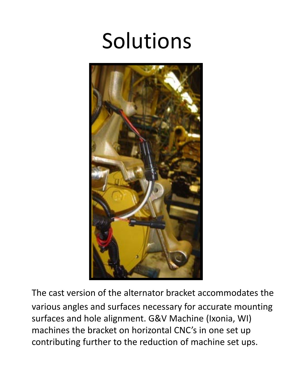### Solutions



The cast version of the alternator bracket accommodates the various angles and surfaces necessary for accurate mounting surfaces and hole alignment. G&V Machine (Ixonia, WI) machines the bracket on horizontal CNC's in one set up contributing further to the reduction of machine set ups.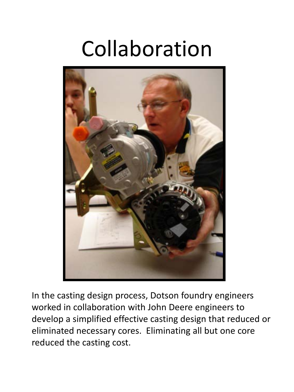### Collaboration



In the casting design process, Dotson foundry engineers worked in collaboration with John Deere engineers to develop a simplified effective casting design that reduced or eliminated necessary cores. Eliminating all but one core reduced the casting cost.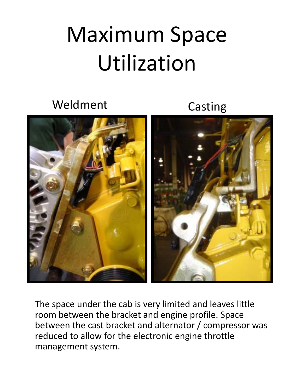## Maximum Space Utilization

Weldment Casting



The space under the cab is very limited and leaves little room between the bracket and engine profile. Space between the cast bracket and alternator / compressor was reduced to allow for the electronic engine throttle management system.